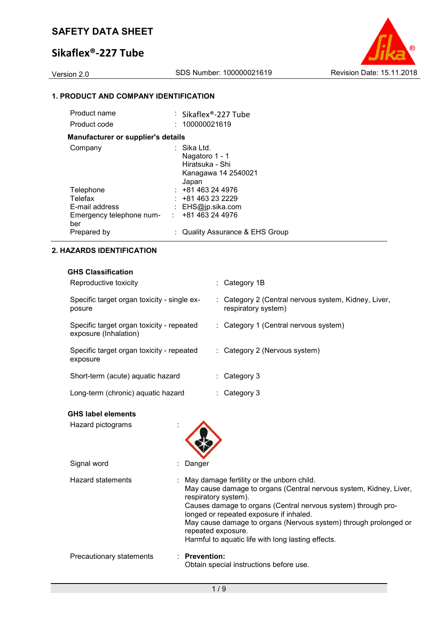# **Sikaflex®-227 Tube**



## **1. PRODUCT AND COMPANY IDENTIFICATION**

| Product name                              | : Sikaflex®-227 Tube                                                             |
|-------------------------------------------|----------------------------------------------------------------------------------|
| Product code                              | : 100000021619                                                                   |
| <b>Manufacturer or supplier's details</b> |                                                                                  |
| Company                                   | : Sika Ltd.<br>Nagatoro 1 - 1<br>Hiratsuka - Shi<br>Kanagawa 14 2540021<br>Japan |
| Telephone                                 | $: +81463244976$                                                                 |
| Telefax                                   | $: +81463232229$                                                                 |
| E-mail address                            | : $EHS@ip.sika.com$                                                              |
| Emergency telephone num-<br>ber           | : 481463244976                                                                   |
| Prepared by                               | : Quality Assurance & EHS Group                                                  |

## **2. HAZARDS IDENTIFICATION**

### **GHS Classification**

| Reproductive toxicity                                              | : Category 1B                                                               |
|--------------------------------------------------------------------|-----------------------------------------------------------------------------|
| Specific target organ toxicity - single ex-<br>posure              | : Category 2 (Central nervous system, Kidney, Liver,<br>respiratory system) |
| Specific target organ toxicity - repeated<br>exposure (Inhalation) | : Category 1 (Central nervous system)                                       |
| Specific target organ toxicity - repeated<br>exposure              | : Category 2 (Nervous system)                                               |
| Short-term (acute) aquatic hazard                                  | $\therefore$ Category 3                                                     |
| Long-term (chronic) aquatic hazard                                 | Category 3                                                                  |

## **GHS label elements**

| Hazard pictograms        |                                                                                                                                                                                                                                                                                                                                                                                                       |
|--------------------------|-------------------------------------------------------------------------------------------------------------------------------------------------------------------------------------------------------------------------------------------------------------------------------------------------------------------------------------------------------------------------------------------------------|
| Signal word              | Danger                                                                                                                                                                                                                                                                                                                                                                                                |
| Hazard statements        | : May damage fertility or the unborn child.<br>May cause damage to organs (Central nervous system, Kidney, Liver,<br>respiratory system).<br>Causes damage to organs (Central nervous system) through pro-<br>longed or repeated exposure if inhaled.<br>May cause damage to organs (Nervous system) through prolonged or<br>repeated exposure.<br>Harmful to aquatic life with long lasting effects. |
| Precautionary statements | $:$ Prevention:<br>Obtain special instructions before use.                                                                                                                                                                                                                                                                                                                                            |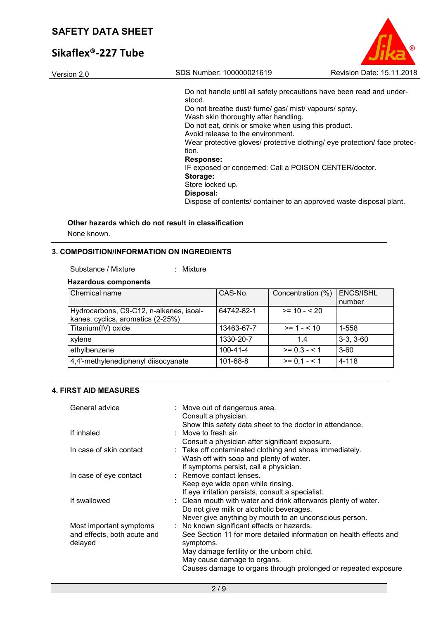# **Sikaflex®-227 Tube**

| SDS Number: 100000021619<br>Version 2.0<br>Do not handle until all safety precautions have been read and under-<br>stood.<br>Do not breathe dust/ fume/ gas/ mist/ vapours/ spray.<br>Wash skin thoroughly after handling.<br>Do not eat, drink or smoke when using this product.<br>Avoid release to the environment.<br>Wear protective gloves/ protective clothing/ eye protection/ face protec-<br>tion.<br><b>Response:</b><br>IF exposed or concerned: Call a POISON CENTER/doctor.<br>Storage:<br>Store locked up. |           |                                  |
|---------------------------------------------------------------------------------------------------------------------------------------------------------------------------------------------------------------------------------------------------------------------------------------------------------------------------------------------------------------------------------------------------------------------------------------------------------------------------------------------------------------------------|-----------|----------------------------------|
|                                                                                                                                                                                                                                                                                                                                                                                                                                                                                                                           |           | <b>Revision Date: 15.11.2018</b> |
| Dispose of contents/ container to an approved waste disposal plant.                                                                                                                                                                                                                                                                                                                                                                                                                                                       | Disposal: |                                  |

 $\odot$ 

# **Other hazards which do not result in classification**

None known.

## **3. COMPOSITION/INFORMATION ON INGREDIENTS**

#### Substance / Mixture : Mixture

**Hazardous components**

| Chemical name                                                                | CAS-No.        | Concentration (%) | <b>ENCS/ISHL</b><br>number |
|------------------------------------------------------------------------------|----------------|-------------------|----------------------------|
| Hydrocarbons, C9-C12, n-alkanes, isoal-<br>kanes, cyclics, aromatics (2-25%) | 64742-82-1     | $>= 10 - 520$     |                            |
| Titanium(IV) oxide                                                           | 13463-67-7     | $>= 1 - 10$       | 1-558                      |
| xylene                                                                       | 1330-20-7      | 1.4               | $3-3, 3-60$                |
| ethylbenzene                                                                 | $100 - 41 - 4$ | $>= 0.3 - 1.5$    | $3-60$                     |
| 4,4'-methylenediphenyl diisocyanate                                          | 101-68-8       | $>= 0.1 - 5.1$    | 4-118                      |

## **4. FIRST AID MEASURES**

| General advice                                                    | : Move out of dangerous area.<br>Consult a physician.<br>Show this safety data sheet to the doctor in attendance.                                                                                                                                                                                                                     |
|-------------------------------------------------------------------|---------------------------------------------------------------------------------------------------------------------------------------------------------------------------------------------------------------------------------------------------------------------------------------------------------------------------------------|
| If inhaled                                                        | : Move to fresh air.                                                                                                                                                                                                                                                                                                                  |
| In case of skin contact                                           | Consult a physician after significant exposure.<br>: Take off contaminated clothing and shoes immediately.<br>Wash off with soap and plenty of water.<br>If symptoms persist, call a physician.                                                                                                                                       |
| In case of eye contact                                            | : Remove contact lenses.<br>Keep eye wide open while rinsing.<br>If eye irritation persists, consult a specialist.                                                                                                                                                                                                                    |
| If swallowed                                                      | : Clean mouth with water and drink afterwards plenty of water.<br>Do not give milk or alcoholic beverages.                                                                                                                                                                                                                            |
| Most important symptoms<br>and effects, both acute and<br>delayed | Never give anything by mouth to an unconscious person.<br>: No known significant effects or hazards.<br>See Section 11 for more detailed information on health effects and<br>symptoms.<br>May damage fertility or the unborn child.<br>May cause damage to organs.<br>Causes damage to organs through prolonged or repeated exposure |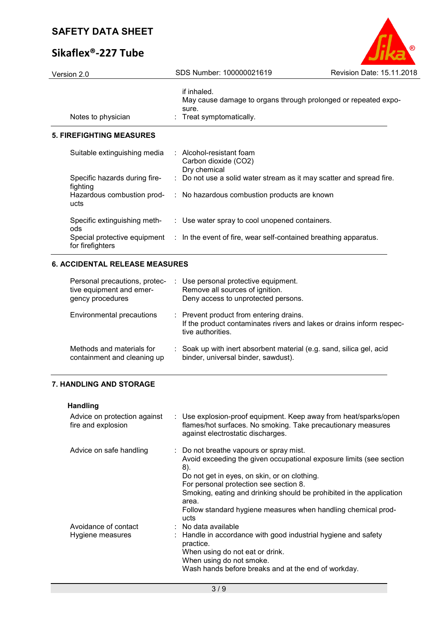# **Sikaflex®-227 Tube**

| Version 2.0                                                                   | SDS Number: 100000021619                                                                                     | Revision Date: 15.11.2018                                             |
|-------------------------------------------------------------------------------|--------------------------------------------------------------------------------------------------------------|-----------------------------------------------------------------------|
| Notes to physician                                                            | if inhaled.<br>sure.<br>Treat symptomatically.                                                               | May cause damage to organs through prolonged or repeated expo-        |
| <b>5. FIREFIGHTING MEASURES</b>                                               |                                                                                                              |                                                                       |
| Suitable extinguishing media                                                  | Alcohol-resistant foam<br>Carbon dioxide (CO2)<br>Dry chemical                                               |                                                                       |
| Specific hazards during fire-<br>fighting                                     |                                                                                                              | Do not use a solid water stream as it may scatter and spread fire.    |
| Hazardous combustion prod-<br>ucts                                            | No hazardous combustion products are known<br>÷.                                                             |                                                                       |
| Specific extinguishing meth-<br>ods                                           | : Use water spray to cool unopened containers.                                                               |                                                                       |
| Special protective equipment<br>for firefighters                              | : In the event of fire, wear self-contained breathing apparatus.                                             |                                                                       |
| <b>6. ACCIDENTAL RELEASE MEASURES</b>                                         |                                                                                                              |                                                                       |
| Personal precautions, protec-<br>tive equipment and emer-<br>gency procedures | Use personal protective equipment.<br>Remove all sources of ignition.<br>Deny access to unprotected persons. |                                                                       |
| <b>Environmental precautions</b>                                              | Prevent product from entering drains.<br>tive authorities.                                                   | If the product contaminates rivers and lakes or drains inform respec- |
| Methods and materials for<br>containment and cleaning up                      | binder, universal binder, sawdust).                                                                          | Soak up with inert absorbent material (e.g. sand, silica gel, acid    |
| <b>7. HANDLING AND STORAGE</b>                                                |                                                                                                              |                                                                       |
| <b>Handling</b>                                                               |                                                                                                              |                                                                       |
| Advice on protection against                                                  |                                                                                                              | Use explosion-proof equipment. Keep away from heat/sparks/open        |

 $\circledR$ 

| Advice on protection against<br>fire and explosion | : Use explosion-proof equipment. Keep away from heat/sparks/open<br>flames/hot surfaces. No smoking. Take precautionary measures<br>against electrostatic discharges.                                                                                                                                                                                                     |
|----------------------------------------------------|---------------------------------------------------------------------------------------------------------------------------------------------------------------------------------------------------------------------------------------------------------------------------------------------------------------------------------------------------------------------------|
| Advice on safe handling                            | : Do not breathe vapours or spray mist.<br>Avoid exceeding the given occupational exposure limits (see section<br>8).<br>Do not get in eyes, on skin, or on clothing.<br>For personal protection see section 8.<br>Smoking, eating and drinking should be prohibited in the application<br>area.<br>Follow standard hygiene measures when handling chemical prod-<br>ucts |
| Avoidance of contact<br>Hygiene measures           | $:$ No data available<br>: Handle in accordance with good industrial hygiene and safety<br>practice.<br>When using do not eat or drink.<br>When using do not smoke.<br>Wash hands before breaks and at the end of workday.                                                                                                                                                |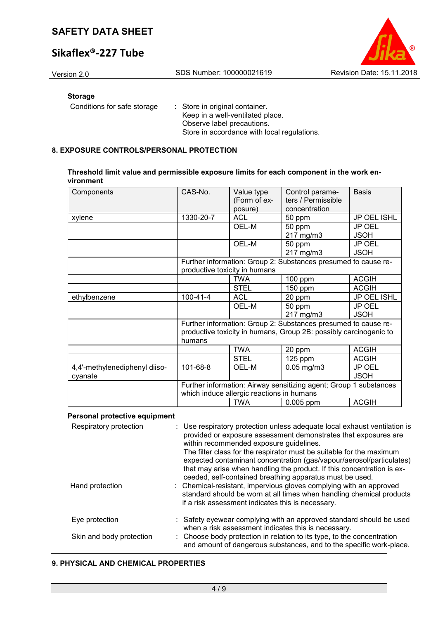# **Sikaflex®-227 Tube**



## **Storage**

| Conditions for safe storage | : Store in original container.              |
|-----------------------------|---------------------------------------------|
|                             | Keep in a well-ventilated place.            |
|                             | Observe label precautions.                  |
|                             | Store in accordance with local regulations. |

## **8. EXPOSURE CONTROLS/PERSONAL PROTECTION**

| Threshold limit value and permissible exposure limits for each component in the work en- |  |
|------------------------------------------------------------------------------------------|--|
| vironment                                                                                |  |

| Components                    | CAS-No.        | Value type<br>(Form of ex-<br>posure)     | Control parame-<br>ters / Permissible<br>concentration                                                                              | <b>Basis</b>  |
|-------------------------------|----------------|-------------------------------------------|-------------------------------------------------------------------------------------------------------------------------------------|---------------|
| xylene                        | 1330-20-7      | <b>ACL</b>                                | 50 ppm                                                                                                                              | JP OEL ISHL   |
|                               |                | OEL-M                                     | 50 ppm                                                                                                                              | <b>JP OEL</b> |
|                               |                |                                           | 217 mg/m3                                                                                                                           | <b>JSOH</b>   |
|                               |                | OEL-M                                     | 50 ppm                                                                                                                              | JP OEL        |
|                               |                |                                           | 217 mg/m3                                                                                                                           | <b>JSOH</b>   |
|                               |                |                                           | Further information: Group 2: Substances presumed to cause re-                                                                      |               |
|                               |                | productive toxicity in humans             |                                                                                                                                     |               |
|                               |                | <b>TWA</b>                                | $100$ ppm                                                                                                                           | <b>ACGIH</b>  |
|                               |                | <b>STEL</b>                               | $150$ ppm                                                                                                                           | <b>ACGIH</b>  |
| ethylbenzene                  | $100 - 41 - 4$ | <b>ACL</b>                                | 20 ppm                                                                                                                              | JP OEL ISHL   |
|                               |                | OEL-M                                     | 50 ppm                                                                                                                              | <b>JP OEL</b> |
|                               |                |                                           | 217 mg/m3                                                                                                                           | <b>JSOH</b>   |
|                               | humans         |                                           | Further information: Group 2: Substances presumed to cause re-<br>productive toxicity in humans, Group 2B: possibly carcinogenic to |               |
|                               |                | <b>TWA</b>                                | 20 ppm                                                                                                                              | <b>ACGIH</b>  |
|                               |                | <b>STEL</b>                               | 125 ppm                                                                                                                             | <b>ACGIH</b>  |
| 4,4'-methylenediphenyl diiso- | 101-68-8       | OEL-M                                     | $0.05$ mg/m $3$                                                                                                                     | JP OEL        |
| cyanate                       |                |                                           |                                                                                                                                     | <b>JSOH</b>   |
|                               |                | which induce allergic reactions in humans | Further information: Airway sensitizing agent; Group 1 substances                                                                   |               |
|                               |                | <b>TWA</b>                                | 0.005 ppm                                                                                                                           | <b>ACGIH</b>  |

## **Personal protective equipment**

| Respiratory protection   | : Use respiratory protection unless adequate local exhaust ventilation is<br>provided or exposure assessment demonstrates that exposures are<br>within recommended exposure guidelines.<br>The filter class for the respirator must be suitable for the maximum<br>expected contaminant concentration (gas/vapour/aerosol/particulates)<br>that may arise when handling the product. If this concentration is ex-<br>ceeded, self-contained breathing apparatus must be used. |
|--------------------------|-------------------------------------------------------------------------------------------------------------------------------------------------------------------------------------------------------------------------------------------------------------------------------------------------------------------------------------------------------------------------------------------------------------------------------------------------------------------------------|
| Hand protection          | : Chemical-resistant, impervious gloves complying with an approved<br>standard should be worn at all times when handling chemical products<br>if a risk assessment indicates this is necessary.                                                                                                                                                                                                                                                                               |
| Eye protection           | : Safety eyewear complying with an approved standard should be used<br>when a risk assessment indicates this is necessary.                                                                                                                                                                                                                                                                                                                                                    |
| Skin and body protection | : Choose body protection in relation to its type, to the concentration<br>and amount of dangerous substances, and to the specific work-place.                                                                                                                                                                                                                                                                                                                                 |

## **9. PHYSICAL AND CHEMICAL PROPERTIES**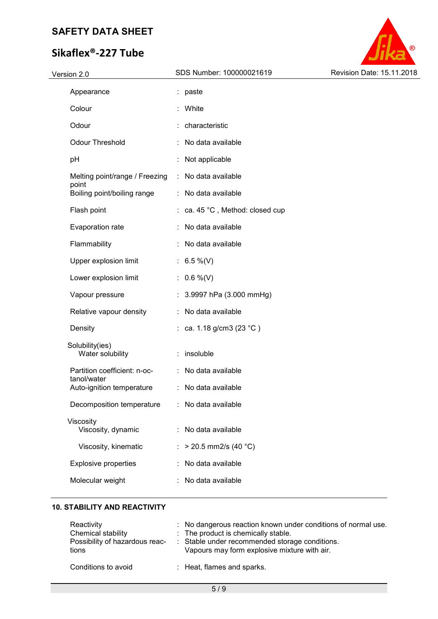# **Sikaflex®-227 Tube**



## **10. STABILITY AND REACTIVITY**

| Reactivity<br>Chemical stability<br>Possibility of hazardous reac-<br>tions | : No dangerous reaction known under conditions of normal use.<br>: The product is chemically stable.<br>: Stable under recommended storage conditions.<br>Vapours may form explosive mixture with air. |
|-----------------------------------------------------------------------------|--------------------------------------------------------------------------------------------------------------------------------------------------------------------------------------------------------|
| Conditions to avoid                                                         | : Heat, flames and sparks.                                                                                                                                                                             |

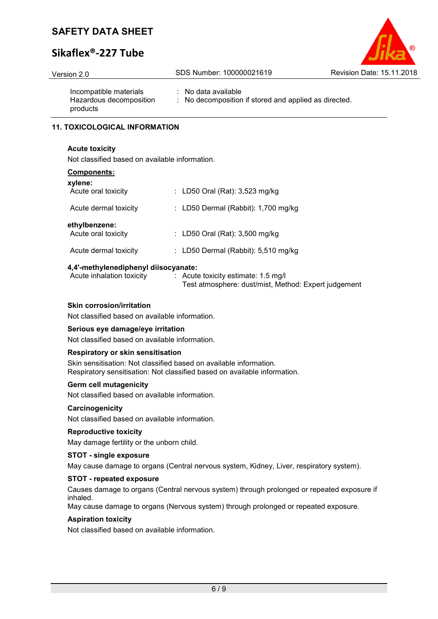# **Sikaflex®-227 Tube**

## Version 2.0 SDS Number: 100000021619 Revision Date: 15.11.2018

Incompatible materials : No data available Hazardous decomposition products

: No decomposition if stored and applied as directed.

## **11. TOXICOLOGICAL INFORMATION**

#### **Acute toxicity**

Not classified based on available information.

| <b>Components:</b> |
|--------------------|
|                    |

| xylene:<br>Acute oral toxicity       | : LD50 Oral (Rat): 3,523 mg/kg        |
|--------------------------------------|---------------------------------------|
| Acute dermal toxicity                | : LD50 Dermal (Rabbit): $1,700$ mg/kg |
| ethylbenzene:<br>Acute oral toxicity | : LD50 Oral (Rat): 3,500 mg/kg        |
| Acute dermal toxicity                | : LD50 Dermal (Rabbit): $5,510$ mg/kg |
|                                      |                                       |

### **4,4'-methylenediphenyl diisocyanate:**

| Acute inhalation toxicity | $\therefore$ Acute toxicity estimate: 1.5 mg/l       |
|---------------------------|------------------------------------------------------|
|                           | Test atmosphere: dust/mist, Method: Expert judgement |

### **Skin corrosion/irritation**

Not classified based on available information.

### **Serious eye damage/eye irritation**

Not classified based on available information.

#### **Respiratory or skin sensitisation**

Skin sensitisation: Not classified based on available information. Respiratory sensitisation: Not classified based on available information.

#### **Germ cell mutagenicity**

Not classified based on available information.

#### **Carcinogenicity**

Not classified based on available information.

#### **Reproductive toxicity**

May damage fertility or the unborn child.

#### **STOT - single exposure**

May cause damage to organs (Central nervous system, Kidney, Liver, respiratory system).

### **STOT - repeated exposure**

Causes damage to organs (Central nervous system) through prolonged or repeated exposure if inhaled.

May cause damage to organs (Nervous system) through prolonged or repeated exposure.

### **Aspiration toxicity**

Not classified based on available information.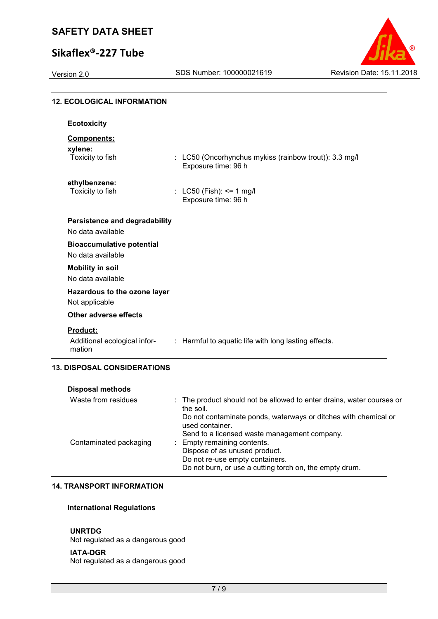# **Sikaflex®-227 Tube**



| <b>12. ECOLOGICAL INFORMATION</b>                         |   |                                                                                                                                                                        |
|-----------------------------------------------------------|---|------------------------------------------------------------------------------------------------------------------------------------------------------------------------|
| <b>Ecotoxicity</b>                                        |   |                                                                                                                                                                        |
| <b>Components:</b>                                        |   |                                                                                                                                                                        |
| xylene:<br>Toxicity to fish                               |   | : LC50 (Oncorhynchus mykiss (rainbow trout)): 3.3 mg/l<br>Exposure time: 96 h                                                                                          |
| ethylbenzene:<br>Toxicity to fish                         |   | : LC50 (Fish): <= 1 mg/l<br>Exposure time: 96 h                                                                                                                        |
| <b>Persistence and degradability</b><br>No data available |   |                                                                                                                                                                        |
| <b>Bioaccumulative potential</b><br>No data available     |   |                                                                                                                                                                        |
| <b>Mobility in soil</b><br>No data available              |   |                                                                                                                                                                        |
| Hazardous to the ozone layer<br>Not applicable            |   |                                                                                                                                                                        |
| <b>Other adverse effects</b>                              |   |                                                                                                                                                                        |
| Product:<br>Additional ecological infor-<br>mation        |   | : Harmful to aquatic life with long lasting effects.                                                                                                                   |
| <b>13. DISPOSAL CONSIDERATIONS</b>                        |   |                                                                                                                                                                        |
| <b>Disposal methods</b>                                   |   |                                                                                                                                                                        |
| Waste from residues                                       | ÷ | The product should not be allowed to enter drains, water courses or<br>the soil.<br>Do not contaminate ponds, waterways or ditches with chemical or<br>used container. |
| Contaminated packaging                                    |   | Send to a licensed waste management company.<br>: Empty remaining contents.<br>Dispose of as unused product.                                                           |

### **14. TRANSPORT INFORMATION**

## **International Regulations**

#### **UNRTDG**

Not regulated as a dangerous good

#### **IATA-DGR**

Not regulated as a dangerous good

Do not re-use empty containers.

Do not burn, or use a cutting torch on, the empty drum.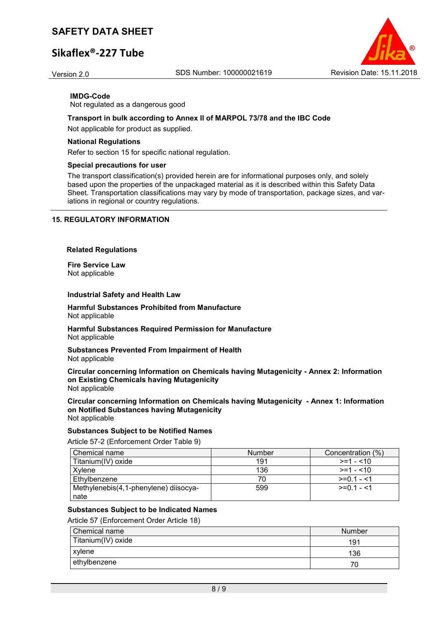# **Sikaflex®-227 Tube**

Version 2.0 SDS Number: 100000021619 Revision Date: 15.11.2018



**IMDG-Code** Not regulated as a dangerous good

### **Transport in bulk according to Annex II of MARPOL 73/78 and the IBC Code**

Not applicable for product as supplied.

#### **National Regulations**

Refer to section 15 for specific national regulation.

#### **Special precautions for user**

The transport classification(s) provided herein are for informational purposes only, and solely based upon the properties of the unpackaged material as it is described within this Safety Data Sheet. Transportation classifications may vary by mode of transportation, package sizes, and variations in regional or country regulations.

## **15. REGULATORY INFORMATION**

#### **Related Regulations**

**Fire Service Law** Not applicable

#### **Industrial Safety and Health Law**

**Harmful Substances Prohibited from Manufacture** Not applicable

**Harmful Substances Required Permission for Manufacture** Not applicable

**Substances Prevented From Impairment of Health** Not applicable

**Circular concerning Information on Chemicals having Mutagenicity - Annex 2: Information on Existing Chemicals having Mutagenicity** Not applicable

**Circular concerning Information on Chemicals having Mutagenicity - Annex 1: Information on Notified Substances having Mutagenicity** Not applicable

#### **Substances Subject to be Notified Names**

Article 57-2 (Enforcement Order Table 9)

| Chemical name                         | <b>Number</b> | Concentration (%) |
|---------------------------------------|---------------|-------------------|
| Titanium(IV) oxide                    | 191           | $>= 1 - 10$       |
| Xvlene                                | 136           | $>=1 - 10$        |
| Ethylbenzene                          | 70            | $>=0.1 - 1.1$     |
| Methylenebis(4,1-phenylene) diisocya- | 599           | $>=01 - 1$        |
| nate                                  |               |                   |

#### **Substances Subject to be Indicated Names**

Article 57 (Enforcement Order Article 18)

| <b>Chemical name</b> | <b>Number</b> |
|----------------------|---------------|
| Titanium(IV) oxide   | 191           |
| xylene               | 136           |
| ethylbenzene         |               |